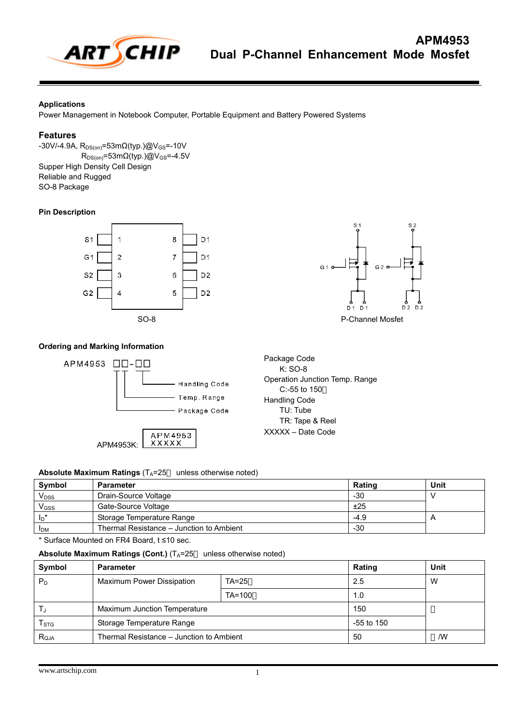

### **Applications**

Power Management in Notebook Computer, Portable Equipment and Battery Powered Systems

#### **Features**

 $-30V/ -4.9A$ , R<sub>DS(on)</sub>=53mΩ(typ.)@V<sub>GS</sub>=-10V  $R_{DS(on)} = 53m\Omega(typ.)$ @V<sub>GS</sub>=-4.5V Supper High Density Cell Design Reliable and Rugged SO-8 Package

### **Pin Description**





### **Ordering and Marking Information**



Package Code K: SO-8 Operation Junction Temp. Range C:-55 to 150 Handling Code TU: Tube TR: Tape & Reel XXXXX – Date Code

# **Absolute Maximum Ratings** (T<sub>A</sub>=25 unless otherwise noted)

| Symbol                      | Parameter                                | <b>Rating</b> | Unit           |
|-----------------------------|------------------------------------------|---------------|----------------|
| <b>V</b> <sub>DSS</sub>     | Drain-Source Voltage                     | -30           |                |
| $V$ <sub>GSS</sub>          | Gate-Source Voltage                      | ±25           |                |
| $\mathsf{I}_{\mathsf{D}}^*$ | Storage Temperature Range                | $-4.9$        | $\overline{A}$ |
| <b>I</b> <sub>DM</sub>      | Thermal Resistance – Junction to Ambient | $-30$         |                |

\* Surface Mounted on FR4 Board, t ≤10 sec.

#### **Absolute Maximum Ratings (Cont.)** (T<sub>A</sub>=25 unless otherwise noted)

| Symbol                    | <b>Parameter</b>                         |          | <b>Rating</b> | Unit |
|---------------------------|------------------------------------------|----------|---------------|------|
| $P_D$                     | Maximum Power Dissipation<br>$TA=25$     |          | 2.5           | W    |
|                           |                                          | $TA=100$ | 1.0           |      |
| T.                        | Maximum Junction Temperature             |          | 150           |      |
| $\mathsf{T}_{\text{STG}}$ | Storage Temperature Range                |          | -55 to 150    |      |
| $R_{QJA}$                 | Thermal Resistance – Junction to Ambient |          | 50            | /W   |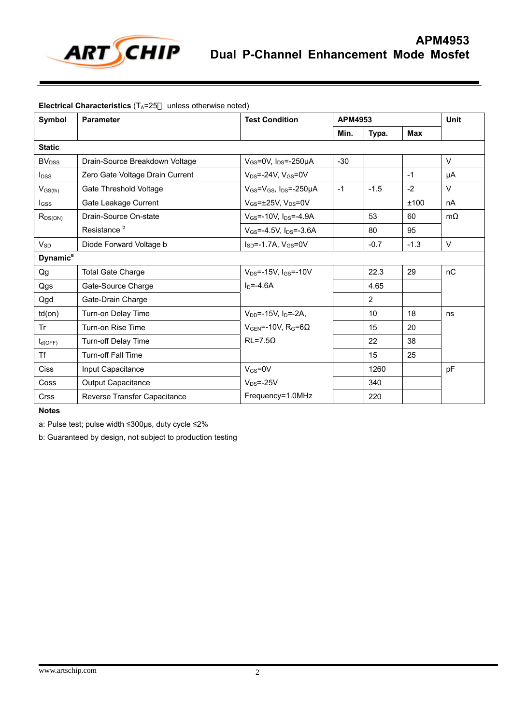

# **Electrical Characteristics** (T<sub>A</sub>=25 unless otherwise noted)

| Symbol                     | <b>Parameter</b>                | <b>Test Condition</b>                                |       | APM4953        |            |           |
|----------------------------|---------------------------------|------------------------------------------------------|-------|----------------|------------|-----------|
|                            |                                 |                                                      | Min.  | Typa.          | <b>Max</b> |           |
| <b>Static</b>              |                                 |                                                      |       |                |            |           |
| <b>BV</b> <sub>DSS</sub>   | Drain-Source Breakdown Voltage  | $V_{GS}$ =0V, $I_{DS}$ =-250µA                       | $-30$ |                |            | $\vee$    |
| $I_{DSS}$                  | Zero Gate Voltage Drain Current | $V_{DS}$ =-24V, $V_{GS}$ =0V                         |       |                | $-1$       | μA        |
| $V_{GS(th)}$               | Gate Threshold Voltage          | $V_{GS} = V_{GS}$ , $I_{DS} = -250 \mu A$            | $-1$  | $-1.5$         | $-2$       | $\vee$    |
| <b>I</b> GSS               | Gate Leakage Current            | $V$ <sub>GS</sub> = $\pm$ 25V. $V_{DS}$ =0V          |       |                | ±100       | nA        |
| $R_{DS(ON)}$               | Drain-Source On-state           | $V_{GS}$ =-10V, $I_{DS}$ =-4.9A                      |       | 53             | 60         | $m\Omega$ |
|                            | Resistance <sup>b</sup>         | $V_{GS} = -4.5V$ , $I_{DS} = -3.6A$                  |       | 80             | 95         |           |
| $V_{SD}$                   | Diode Forward Voltage b         | $I_{SD} = -1.7A$ , $V_{GS} = 0V$                     |       | $-0.7$         | $-1.3$     | $\vee$    |
| <b>Dynamic<sup>a</sup></b> |                                 |                                                      |       |                |            |           |
| Qg                         | <b>Total Gate Charge</b>        | $V_{DS} = -15V$ . $I_{GS} = -10V$                    |       | 22.3           | 29         | nC        |
| Qgs                        | Gate-Source Charge              | $In=-4.6A$                                           |       | 4.65           |            |           |
| Qgd                        | Gate-Drain Charge               |                                                      |       | $\overline{2}$ |            |           |
| $td($ on $)$               | Turn-on Delay Time              | $V_{DD}$ =-15V. I <sub>D</sub> =-2A.                 |       | 10             | 18         | ns        |
| Tr                         | Turn-on Rise Time               | $V_{\text{GEN}} = -10V$ , R <sub>G</sub> =6 $\Omega$ |       | 15             | 20         |           |
| $t_{d(OFF)}$               | Turn-off Delay Time             | $RL = 7.5Q$                                          |       | 22             | 38         |           |
| <b>Tf</b>                  | <b>Turn-off Fall Time</b>       |                                                      |       | 15             | 25         |           |
| Ciss                       | Input Capacitance               | $V_{GS} = 0V$                                        |       | 1260           |            | pF        |
| Coss                       | Output Capacitance              | $V_{DS} = -25V$                                      |       | 340            |            |           |
| <b>Crss</b>                | Reverse Transfer Capacitance    | Frequency=1.0MHz                                     |       | 220            |            |           |

**Notes** 

a: Pulse test; pulse width ≤300µs, duty cycle ≤2%

b: Guaranteed by design, not subject to production testing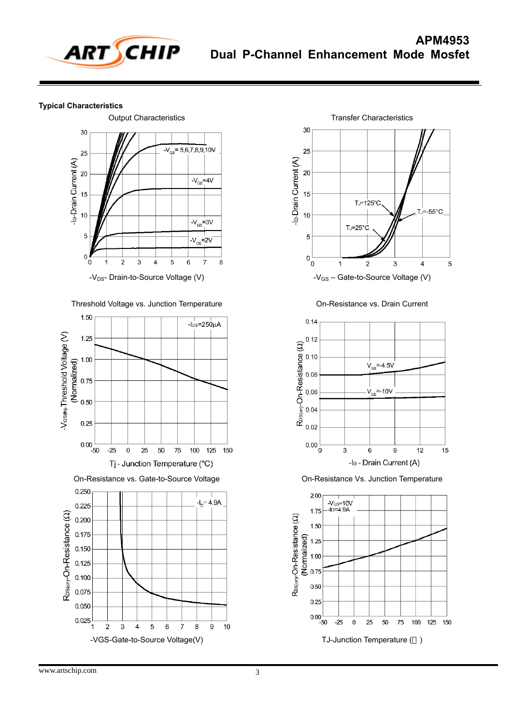

## **Typical Characteristics**



Threshold Voltage vs. Junction Temperature





On-Resistance vs. Drain Current



On-Resistance Vs. Junction Temperature

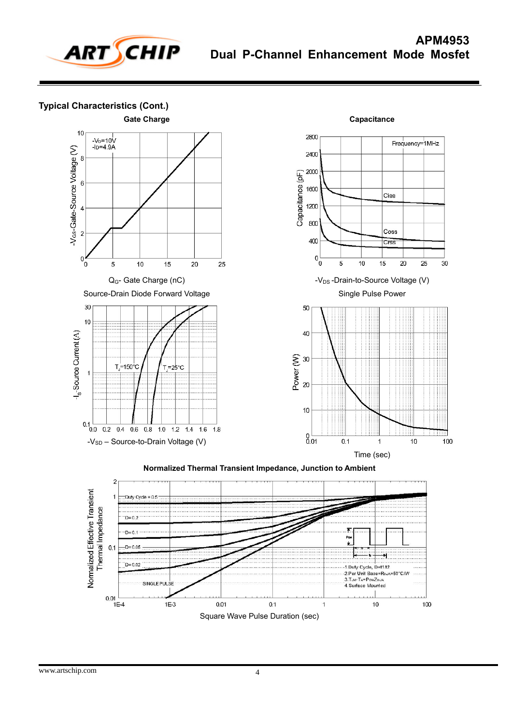

**Typical Characteristics (Cont.)** 





**Normalized Thermal Transient Impedance, Junction to Ambient** 

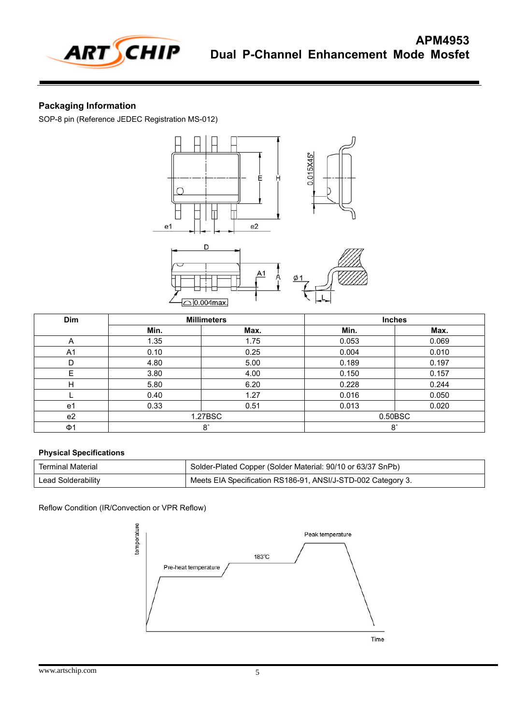

# **Packaging Information**

SOP-8 pin (Reference JEDEC Registration MS-012)



| <b>Dim</b>     | <b>Millimeters</b> |      |       | <b>Inches</b> |
|----------------|--------------------|------|-------|---------------|
|                | Min.               | Max. | Min.  | Max.          |
| A              | 1.35               | 1.75 | 0.053 | 0.069         |
| A <sub>1</sub> | 0.10               | 0.25 | 0.004 | 0.010         |
| D              | 4.80               | 5.00 | 0.189 | 0.197         |
| E              | 3.80               | 4.00 | 0.150 | 0.157         |
| H              | 5.80               | 6.20 | 0.228 | 0.244         |
|                | 0.40               | 1.27 | 0.016 | 0.050         |
| e1             | 0.33               | 0.51 | 0.013 | 0.020         |
| e <sub>2</sub> | 1.27BSC            |      |       | 0.50BSC       |
| Ф1             | $8^\circ$          |      |       | $8^\circ$     |

### **Physical Specifications**

| Terminal Material  | <sup>1</sup> Solder-Plated Copper (Solder Material: 90/10 or 63/37 SnPb) |
|--------------------|--------------------------------------------------------------------------|
| Lead Solderability | Meets EIA Specification RS186-91, ANSI/J-STD-002 Category 3.             |

Reflow Condition (IR/Convection or VPR Reflow)

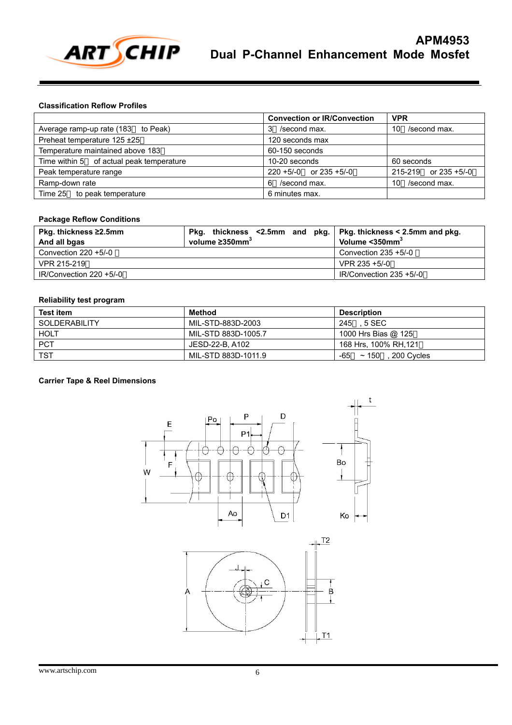

#### **Classification Reflow Profiles**

|                                          | <b>Convection or IR/Convection</b> | <b>VPR</b>                |
|------------------------------------------|------------------------------------|---------------------------|
| Average ramp-up rate (183 to Peak)       | /second max.<br>3                  | /second max.<br>10        |
| Preheat temperature 125 ±25              | 120 seconds max                    |                           |
| Temperature maintained above 183         | 60-150 seconds                     |                           |
| Time within 5 of actual peak temperature | 10-20 seconds                      | 60 seconds                |
| Peak temperature range                   | $220 + 5/-0$ or $235 + 5/-0$       | $215-219$ or $235 + 5/-0$ |
| Ramp-down rate                           | /second max.<br>6                  | /second max.<br>10        |
| Time 25 to peak temperature              | 6 minutes max.                     |                           |

### **Package Reflow Conditions**

| Pkg. thickness ≥2.5mm<br>And all bgas | Pkg. thickness $\leq$ 2.5mm and pkg.   Pkg. thickness $\leq$ 2.5mm and pkg.<br>volume $\geq$ 350mm <sup>3</sup> | Volume < 350mm <sup>3</sup> |
|---------------------------------------|-----------------------------------------------------------------------------------------------------------------|-----------------------------|
| Convection $220 + 5/-0$               |                                                                                                                 | Convection $235 + 5/-0$     |
| VPR 215-219                           |                                                                                                                 | $VPR$ 235 +5/-0             |
| $IR/Convection 220 +5/-0$             |                                                                                                                 | $IR/Convection 235 + 5/-0$  |

## **Reliability test program**

| <b>Test item</b>     | Method              | <b>Description</b>                 |
|----------------------|---------------------|------------------------------------|
| <b>SOLDERABILITY</b> | MIL-STD-883D-2003   | 245<br>. 5 SEC                     |
| <b>HOLT</b>          | MIL-STD 883D-1005.7 | 1000 Hrs Bias @ 125                |
| <b>PCT</b>           | JESD-22-B. A102     | 168 Hrs. 100% RH.121               |
| <b>TST</b>           | MIL-STD 883D-1011.9 | -65<br>$~\sim$ 150<br>. 200 Cycles |

### **Carrier Tape & Reel Dimensions**